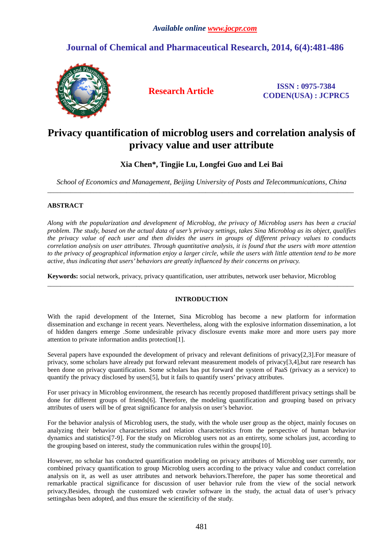# **Journal of Chemical and Pharmaceutical Research, 2014, 6(4):481-486**



**Research Article ISSN : 0975-7384 CODEN(USA) : JCPRC5**

# **Privacy quantification of microblog users and correlation analysis of privacy value and user attribute**

## **Xia Chen\*, Tingjie Lu, Longfei Guo and Lei Bai**

*School of Economics and Management, Beijing University of Posts and Telecommunications, China*  \_\_\_\_\_\_\_\_\_\_\_\_\_\_\_\_\_\_\_\_\_\_\_\_\_\_\_\_\_\_\_\_\_\_\_\_\_\_\_\_\_\_\_\_\_\_\_\_\_\_\_\_\_\_\_\_\_\_\_\_\_\_\_\_\_\_\_\_\_\_\_\_\_\_\_\_\_\_\_\_\_\_\_\_\_\_\_\_\_\_\_\_\_

### **ABSTRACT**

*Along with the popularization and development of Microblog, the privacy of Microblog users has been a crucial problem. The study, based on the actual data of user's privacy settings, takes Sina Microblog as its object, qualifies the privacy value of each user and then divides the users in groups of different privacy values to conducts correlation analysis on user attributes. Through quantitative analysis, it is found that the users with more attention to the privacy of geographical information enjoy a larger circle, while the users with little attention tend to be more active, thus indicating that users' behaviors are greatly influenced by their concerns on privacy.* 

**Keywords:** social network, privacy, privacy quantification, user attributes, network user behavior, Microblog

### **INTRODUCTION**

\_\_\_\_\_\_\_\_\_\_\_\_\_\_\_\_\_\_\_\_\_\_\_\_\_\_\_\_\_\_\_\_\_\_\_\_\_\_\_\_\_\_\_\_\_\_\_\_\_\_\_\_\_\_\_\_\_\_\_\_\_\_\_\_\_\_\_\_\_\_\_\_\_\_\_\_\_\_\_\_\_\_\_\_\_\_\_\_\_\_\_\_\_

With the rapid development of the Internet, Sina Microblog has become a new platform for information dissemination and exchange in recent years. Nevertheless, along with the explosive information dissemination, a lot of hidden dangers emerge .Some undesirable privacy disclosure events make more and more users pay more attention to private information andits protection[1].

Several papers have expounded the development of privacy and relevant definitions of privacy[2,3]. For measure of privacy, some scholars have already put forward relevant measurement models of privacy[3,4],but rare research has been done on privacy quantification. Some scholars has put forward the system of PaaS (privacy as a service) to quantify the privacy disclosed by users[5], but it fails to quantify users' privacy attributes.

For user privacy in Microblog environment, the research has recently proposed thatdifferent privacy settings shall be done for different groups of friends[6]. Therefore, the modeling quantification and grouping based on privacy attributes of users will be of great significance for analysis on user's behavior.

For the behavior analysis of Microblog users, the study, with the whole user group as the object, mainly focuses on analyzing their behavior characteristics and relation characteristics from the perspective of human behavior dynamics and statistics[7-9]. For the study on Microblog users not as an entirety, some scholars just, according to the grouping based on interest, study the communication rules within the groups[10].

However, no scholar has conducted quantification modeling on privacy attributes of Microblog user currently, nor combined privacy quantification to group Microblog users according to the privacy value and conduct correlation analysis on it, as well as user attributes and network behaviors.Therefore, the paper has some theoretical and remarkable practical significance for discussion of user behavior rule from the view of the social network privacy.Besides, through the customized web crawler software in the study, the actual data of user's privacy settingshas been adopted, and thus ensure the scientificity of the study.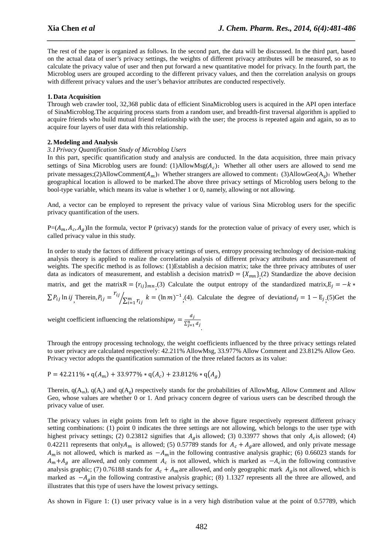The rest of the paper is organized as follows. In the second part, the data will be discussed. In the third part, based on the actual data of user's privacy settings, the weights of different privacy attributes will be measured, so as to calculate the privacy value of user and then put forward a new quantitative model for privacy. In the fourth part, the Microblog users are grouped according to the different privacy values, and then the correlation analysis on groups with different privacy values and the user's behavior attributes are conducted respectively.

*\_\_\_\_\_\_\_\_\_\_\_\_\_\_\_\_\_\_\_\_\_\_\_\_\_\_\_\_\_\_\_\_\_\_\_\_\_\_\_\_\_\_\_\_\_\_\_\_\_\_\_\_\_\_\_\_\_\_\_\_\_\_\_\_\_\_\_\_\_\_\_\_\_\_\_\_\_\_*

#### **1. Data Acquisition**

Through web crawler tool, 32,368 public data of efficient SinaMicroblog users is acquired in the API open interface of SinaMicroblog.The acquiring process starts from a random user, and breadth-first traversal algorithm is applied to acquire friends who build mutual friend relationship with the user; the process is repeated again and again, so as to acquire four layers of user data with this relationship.

#### **2.Modeling and Analysis**

#### *3.1Privacy Quantification Study of Microblog Users*

In this part, specific quantification study and analysis are conducted. In the data acquisition, three main privacy settings of Sina Microblog users are found: (1)AllowMsg( $A_c$ ): Whether all other users are allowed to send me private messages;(2)AllowComment( $A_m$ ): Whether strangers are allowed to comment; (3)AllowGeo( $A_g$ ): Whether geographical location is allowed to be marked.The above three privacy settings of Microblog users belong to the bool-type variable, which means its value is whether 1 or 0, namely, allowing or not allowing.

And, a vector can be employed to represent the privacy value of various Sina Microblog users for the specific privacy quantification of the users.

 $P=(A_m, A_c, A_g)$ In the formula, vector P (privacy) stands for the protection value of privacy of every user, which is called privacy value in this study.

In order to study the factors of different privacy settings of users, entropy processing technology of decision-making analysis theory is applied to realize the correlation analysis of different privacy attributes and measurement of weights. The specific method is as follows: (1)Establish a decision matrix; take the three privacy attributes of user data as indicators of measurement, and establish a decision matrix $D = \{X_{mn}\}\,$ (2) Standardize the above decision matrix, and get the matrix  $R = {r_{ij}}_{mn}$ ; (3) Calculate the output entropy of the standardized matrix,  $E_j = -k$  $\sum P_{ij}$  ln *ij* Therein,  $P_{ij} = \frac{r_{ij}}{r_{ij}}$  $\sqrt{\sum_{i=1}^{m} r_{ij}}$   $k = (\ln m)^{-1}$ ; (4). Calculate the degree of deviation  $d_j = 1 - E_j$ ; (5) Get the

weight coefficient influencing the relationship  $w_j = \frac{d_j}{\Sigma^n}$  $\sum_{j=1}^n d_j$ .

Through the entropy processing technology, the weight coefficients influenced by the three privacy settings related to user privacy are calculated respectively: 42.211% AllowMsg, 33.977% Allow Comment and 23.812% Allow Geo. Privacy vector adopts the quantification summation of the three related factors as its value:

$$
P = 42.211\% * q(A_m) + 33.977\% * q(A_c) + 23.812\% * q(A_g)
$$

Therein,  $q(A_m)$ ,  $q(A_c)$  and  $q(A_g)$  respectively stands for the probabilities of AllowMsg, Allow Comment and Allow Geo, whose values are whether 0 or 1. And privacy concern degree of various users can be described through the privacy value of user.

The privacy values in eight points from left to right in the above figure respectively represent different privacy setting combinations: (1) point 0 indicates the three settings are not allowing, which belongs to the user type with highest privacy settings; (2) 0.23812 signifies that  $A<sub>g</sub>$  is allowed; (3) 0.33977 shows that only  $A<sub>c</sub>$  is allowed; (4) 0.42211 represents that only $A_m$  is allowed; (5) 0.57789 stands for  $A_c + A_g$  are allowed, and only private message  $A_m$  is not allowed, which is marked as  $-A_m$  in the following contrastive analysis graphic; (6) 0.66023 stands for  $A_m + A_g$  are allowed, and only comment  $A_c$  is not allowed, which is marked as  $-A_c$  in the following contrastive analysis graphic; (7) 0.76188 stands for  $A_c + A_m$  are allowed, and only geographic mark  $A_g$  is not allowed, which is marked as  $-A<sub>g</sub>$  in the following contrastive analysis graphic; (8) 1.1327 represents all the three are allowed, and illustrates that this type of users have the lowest privacy settings.

As shown in Figure 1: (1) user privacy value is in a very high distribution value at the point of 0.57789, which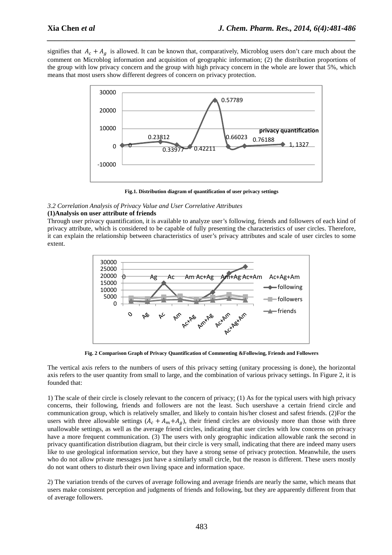signifies that  $A_c + A_g$  is allowed. It can be known that, comparatively, Microblog users don't care much about the comment on Microblog information and acquisition of geographic information; (2) the distribution proportions of the group with low privacy concern and the group with high privacy concern in the whole are lower that 5%, which means that most users show different degrees of concern on privacy protection.

*\_\_\_\_\_\_\_\_\_\_\_\_\_\_\_\_\_\_\_\_\_\_\_\_\_\_\_\_\_\_\_\_\_\_\_\_\_\_\_\_\_\_\_\_\_\_\_\_\_\_\_\_\_\_\_\_\_\_\_\_\_\_\_\_\_\_\_\_\_\_\_\_\_\_\_\_\_\_*



**Fig.1. Distribution diagram of quantification of user privacy settings** 

#### *3.2 Correlation Analysis of Privacy Value and User Correlative Attributes*

#### **(1)Analysis on user attribute of friends**

Through user privacy quantification, it is available to analyze user's following, friends and followers of each kind of privacy attribute, which is considered to be capable of fully presenting the characteristics of user circles. Therefore, it can explain the relationship between characteristics of user's privacy attributes and scale of user circles to some extent.



**Fig. 2 Comparison Graph of Privacy Quantification of Commenting &Following, Friends and Followers** 

The vertical axis refers to the numbers of users of this privacy setting (unitary processing is done), the horizontal axis refers to the user quantity from small to large, and the combination of various privacy settings. In Figure 2, it is founded that:

1) The scale of their circle is closely relevant to the concern of privacy: (1) As for the typical users with high privacy concerns, their following, friends and followers are not the least. Such usershave a certain friend circle and communication group, which is relatively smaller, and likely to contain his/her closest and safest friends. (2)For the users with three allowable settings  $(A_c + A_m + A_g)$ , their friend circles are obviously more than those with three unallowable settings, as well as the average friend circles, indicating that user circles with low concerns on privacy have a more frequent communication. (3) The users with only geographic indication allowable rank the second in privacy quantification distribution diagram, but their circle is very small, indicating that there are indeed many users like to use geological information service, but they have a strong sense of privacy protection. Meanwhile, the users who do not allow private messages just have a similarly small circle, but the reason is different. These users mostly do not want others to disturb their own living space and information space.

2) The variation trends of the curves of average following and average friends are nearly the same, which means that users make consistent perception and judgments of friends and following, but they are apparently different from that of average followers.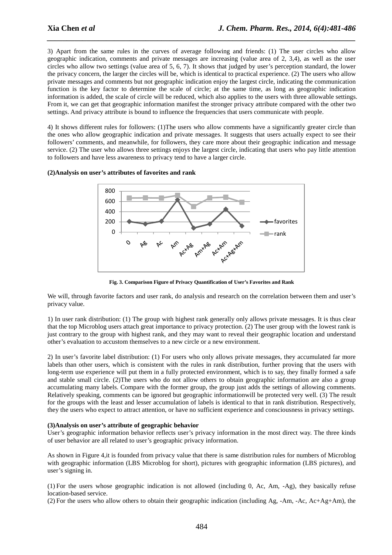3) Apart from the same rules in the curves of average following and friends: (1) The user circles who allow geographic indication, comments and private messages are increasing (value area of 2, 3,4), as well as the user circles who allow two settings (value area of 5, 6, 7). It shows that judged by user's perception standard, the lower the privacy concern, the larger the circles will be, which is identical to practical experience. (2) The users who allow private messages and comments but not geographic indication enjoy the largest circle, indicating the communication function is the key factor to determine the scale of circle; at the same time, as long as geographic indication information is added, the scale of circle will be reduced, which also applies to the users with three allowable settings. From it, we can get that geographic information manifest the stronger privacy attribute compared with the other two settings. And privacy attribute is bound to influence the frequencies that users communicate with people.

*\_\_\_\_\_\_\_\_\_\_\_\_\_\_\_\_\_\_\_\_\_\_\_\_\_\_\_\_\_\_\_\_\_\_\_\_\_\_\_\_\_\_\_\_\_\_\_\_\_\_\_\_\_\_\_\_\_\_\_\_\_\_\_\_\_\_\_\_\_\_\_\_\_\_\_\_\_\_*

4) It shows different rules for followers: (1)The users who allow comments have a significantly greater circle than the ones who allow geographic indication and private messages. It suggests that users actually expect to see their followers' comments, and meanwhile, for followers, they care more about their geographic indication and message service. (2) The user who allows three settings enjoys the largest circle, indicating that users who pay little attention to followers and have less awareness to privacy tend to have a larger circle.

#### **(2)Analysis on user's attributes of favorites and rank**



**Fig. 3. Comparison Figure of Privacy Quantification of User's Favorites and Rank** 

We will, through favorite factors and user rank, do analysis and research on the correlation between them and user's privacy value.

1) In user rank distribution: (1) The group with highest rank generally only allows private messages. It is thus clear that the top Microblog users attach great importance to privacy protection. (2) The user group with the lowest rank is just contrary to the group with highest rank, and they may want to reveal their geographic location and understand other's evaluation to accustom themselves to a new circle or a new environment.

2) In user's favorite label distribution: (1) For users who only allows private messages, they accumulated far more labels than other users, which is consistent with the rules in rank distribution, further proving that the users with long-term use experience will put them in a fully protected environment, which is to say, they finally formed a safe and stable small circle. (2)The users who do not allow others to obtain geographic information are also a group accumulating many labels. Compare with the former group, the group just adds the settings of allowing comments. Relatively speaking, comments can be ignored but geographic informationwill be protected very well. (3) The result for the groups with the least and lesser accumulation of labels is identical to that in rank distribution. Respectively, they the users who expect to attract attention, or have no sufficient experience and consciousness in privacy settings.

#### **(3)Analysis on user's attribute of geographic behavior**

User's geographic information behavior reflects user's privacy information in the most direct way. The three kinds of user behavior are all related to user's geographic privacy information.

As shown in Figure 4,it is founded from privacy value that there is same distribution rules for numbers of Microblog with geographic information (LBS Microblog for short), pictures with geographic information (LBS pictures), and user's signing in.

(1) For the users whose geographic indication is not allowed (including 0, Ac, Am, -Ag), they basically refuse location-based service.

(2) For the users who allow others to obtain their geographic indication (including Ag, -Am, -Ac, Ac+Ag+Am), the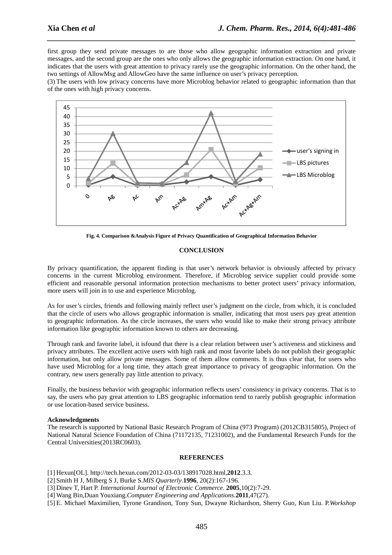first group they send private messages to are those who allow geographic information extraction and private messages, and the second group are the ones who only allows the geographic information extraction. On one hand, it indicates that the users with great attention to privacy rarely use the geographic information. On the other hand, the two settings of AllowMsg and AllowGeo have the same influence on user's privacy perception.

*\_\_\_\_\_\_\_\_\_\_\_\_\_\_\_\_\_\_\_\_\_\_\_\_\_\_\_\_\_\_\_\_\_\_\_\_\_\_\_\_\_\_\_\_\_\_\_\_\_\_\_\_\_\_\_\_\_\_\_\_\_\_\_\_\_\_\_\_\_\_\_\_\_\_\_\_\_\_*

(3) The users with low privacy concerns have more Microblog behavior related to geographic information than that of the ones with high privacy concerns.



**Fig. 4. Comparison &Analysis Figure of Privacy Quantification of Geographical Information Behavior** 

#### **CONCLUSION**

By privacy quantification, the apparent finding is that user's network behavior is obviously affected by privacy concerns in the current Microblog environment. Therefore, if Microblog service supplier could provide some efficient and reasonable personal information protection mechanisms to better protect users' privacy information, more users will join in to use and experience Microblog.

As for user's circles, friends and following mainly reflect user's judgment on the circle, from which, it is concluded that the circle of users who allows geographic information is smaller, indicating that most users pay great attention to geographic information. As the circle increases, the users who would like to make their strong privacy attribute information like geographic information known to others are decreasing.

Through rank and favorite label, it isfound that there is a clear relation between user's activeness and stickiness and privacy attributes. The excellent active users with high rank and most favorite labels do not publish their geographic information, but only allow private messages. Some of them allow comments. It is thus clear that, for users who have used Microblog for a long time, they attach great importance to privacy of geographic information. On the contrary, new users generally pay little attention to privacy.

Finally, the business behavior with geographic information reflects users' consistency in privacy concerns. That is to say, the users who pay great attention to LBS geographic information tend to rarely publish geographic information or use location-based service business.

#### **Acknowledgments**

The research is supported by National Basic Research Program of China (973 Program) (2012CB315805), Project of National Natural Science Foundation of China (71172135, 71231002), and the Fundamental Research Funds for the Central Universities(2013RC0603).

#### **REFERENCES**

[1] Hexun[OL]. http://tech.hexun.com/2012-03-03/138917028.html,**2012**.3.3.

[2] Smith H J, Milberg S J, Burke S.*MIS Quarterly*.**1996**, 20(2):167-196.

[3] Dinev T, Hart P. *International Journal of Electronic Commerce*. **2005**,10(2):7-29.

[4] Wang Bin,Duan Youxiang.*Computer Engineering and Applications*.**2011**,47(27).

[5] E. Michael Maximilien, Tyrone Grandison, Tony Sun, Dwayne Richardson, Sherry Guo, Kun Liu. P.*Workshop*